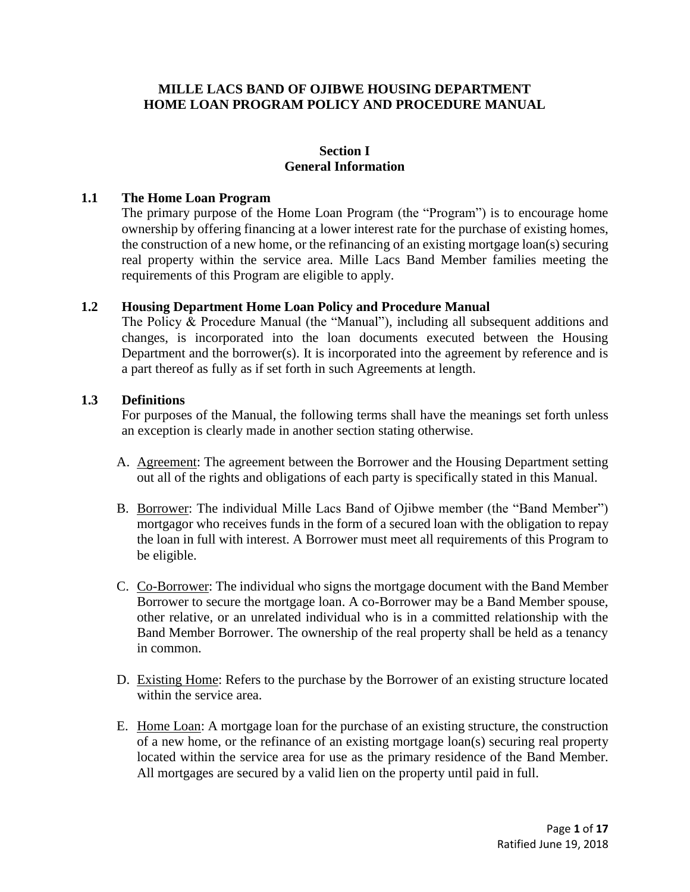## **MILLE LACS BAND OF OJIBWE HOUSING DEPARTMENT HOME LOAN PROGRAM POLICY AND PROCEDURE MANUAL**

## **Section I General Information**

### **1.1 The Home Loan Program**

The primary purpose of the Home Loan Program (the "Program") is to encourage home ownership by offering financing at a lower interest rate for the purchase of existing homes, the construction of a new home, or the refinancing of an existing mortgage loan(s) securing real property within the service area. Mille Lacs Band Member families meeting the requirements of this Program are eligible to apply.

### **1.2 Housing Department Home Loan Policy and Procedure Manual**

The Policy  $\&$  Procedure Manual (the "Manual"), including all subsequent additions and changes, is incorporated into the loan documents executed between the Housing Department and the borrower(s). It is incorporated into the agreement by reference and is a part thereof as fully as if set forth in such Agreements at length.

### **1.3 Definitions**

For purposes of the Manual, the following terms shall have the meanings set forth unless an exception is clearly made in another section stating otherwise.

- A. Agreement: The agreement between the Borrower and the Housing Department setting out all of the rights and obligations of each party is specifically stated in this Manual.
- B. Borrower: The individual Mille Lacs Band of Ojibwe member (the "Band Member") mortgagor who receives funds in the form of a secured loan with the obligation to repay the loan in full with interest. A Borrower must meet all requirements of this Program to be eligible.
- C. Co-Borrower: The individual who signs the mortgage document with the Band Member Borrower to secure the mortgage loan. A co-Borrower may be a Band Member spouse, other relative, or an unrelated individual who is in a committed relationship with the Band Member Borrower. The ownership of the real property shall be held as a tenancy in common.
- D. Existing Home: Refers to the purchase by the Borrower of an existing structure located within the service area.
- E. Home Loan: A mortgage loan for the purchase of an existing structure, the construction of a new home, or the refinance of an existing mortgage loan(s) securing real property located within the service area for use as the primary residence of the Band Member. All mortgages are secured by a valid lien on the property until paid in full.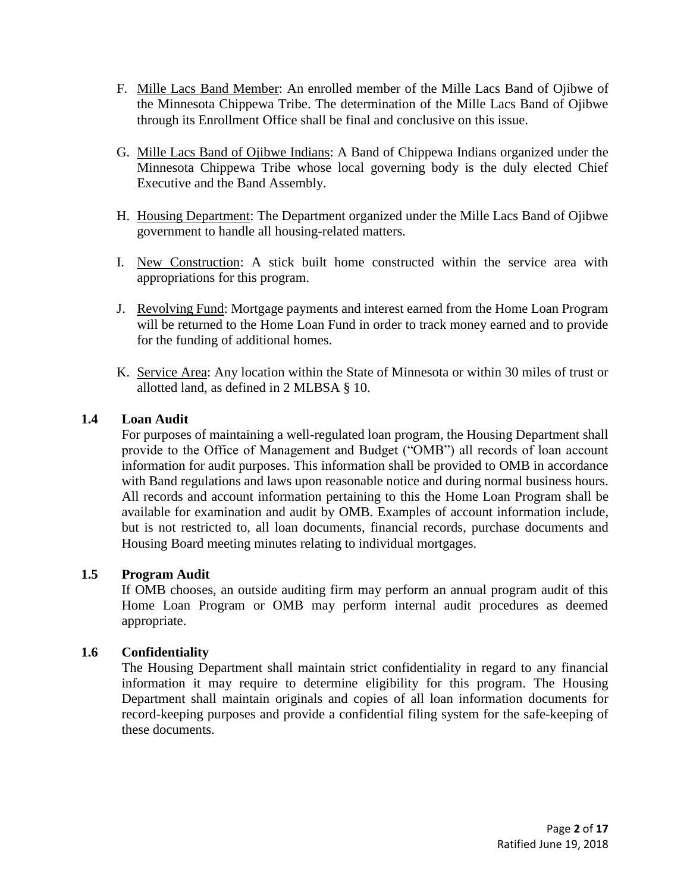- F. Mille Lacs Band Member: An enrolled member of the Mille Lacs Band of Ojibwe of the Minnesota Chippewa Tribe. The determination of the Mille Lacs Band of Ojibwe through its Enrollment Office shall be final and conclusive on this issue.
- G. Mille Lacs Band of Ojibwe Indians: A Band of Chippewa Indians organized under the Minnesota Chippewa Tribe whose local governing body is the duly elected Chief Executive and the Band Assembly.
- H. Housing Department: The Department organized under the Mille Lacs Band of Ojibwe government to handle all housing-related matters.
- I. New Construction: A stick built home constructed within the service area with appropriations for this program.
- J. Revolving Fund: Mortgage payments and interest earned from the Home Loan Program will be returned to the Home Loan Fund in order to track money earned and to provide for the funding of additional homes.
- K. Service Area: Any location within the State of Minnesota or within 30 miles of trust or allotted land, as defined in 2 MLBSA § 10.

## **1.4 Loan Audit**

For purposes of maintaining a well-regulated loan program, the Housing Department shall provide to the Office of Management and Budget ("OMB") all records of loan account information for audit purposes. This information shall be provided to OMB in accordance with Band regulations and laws upon reasonable notice and during normal business hours. All records and account information pertaining to this the Home Loan Program shall be available for examination and audit by OMB. Examples of account information include, but is not restricted to, all loan documents, financial records, purchase documents and Housing Board meeting minutes relating to individual mortgages.

### **1.5 Program Audit**

If OMB chooses, an outside auditing firm may perform an annual program audit of this Home Loan Program or OMB may perform internal audit procedures as deemed appropriate.

### **1.6 Confidentiality**

The Housing Department shall maintain strict confidentiality in regard to any financial information it may require to determine eligibility for this program. The Housing Department shall maintain originals and copies of all loan information documents for record-keeping purposes and provide a confidential filing system for the safe-keeping of these documents.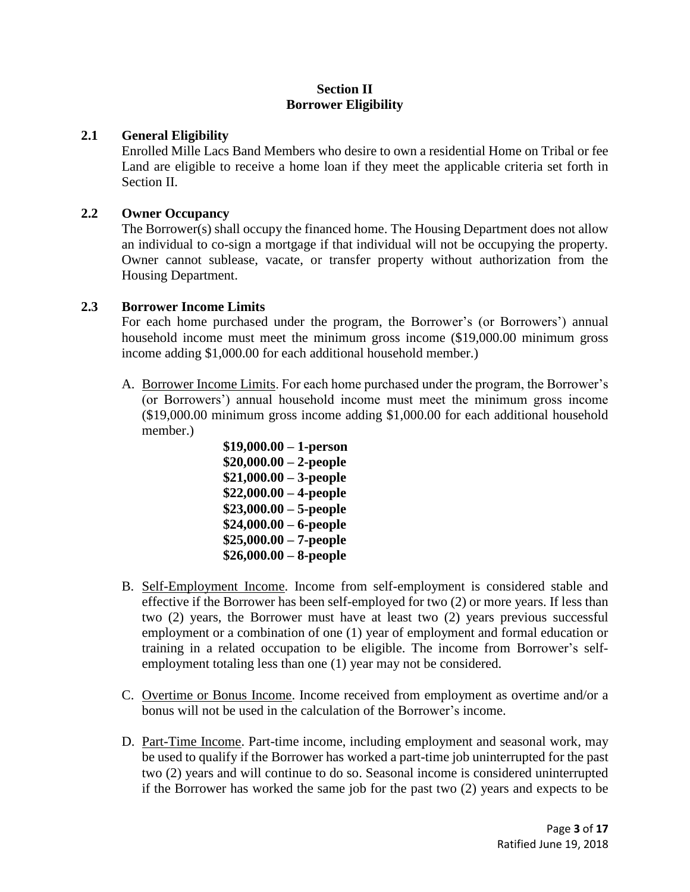## **Section II Borrower Eligibility**

## **2.1 General Eligibility**

Enrolled Mille Lacs Band Members who desire to own a residential Home on Tribal or fee Land are eligible to receive a home loan if they meet the applicable criteria set forth in Section II.

### **2.2 Owner Occupancy**

The Borrower(s) shall occupy the financed home. The Housing Department does not allow an individual to co-sign a mortgage if that individual will not be occupying the property. Owner cannot sublease, vacate, or transfer property without authorization from the Housing Department.

## **2.3 Borrower Income Limits**

For each home purchased under the program, the Borrower's (or Borrowers') annual household income must meet the minimum gross income (\$19,000.00 minimum gross income adding \$1,000.00 for each additional household member.)

- A. Borrower Income Limits. For each home purchased under the program, the Borrower's (or Borrowers') annual household income must meet the minimum gross income (\$19,000.00 minimum gross income adding \$1,000.00 for each additional household member.)
	- **\$19,000.00 – 1-person \$20,000.00 – 2-people \$21,000.00 – 3-people \$22,000.00 – 4-people \$23,000.00 – 5-people \$24,000.00 – 6-people \$25,000.00 – 7-people \$26,000.00 – 8-people**
- B. Self-Employment Income. Income from self-employment is considered stable and effective if the Borrower has been self-employed for two (2) or more years. If less than two (2) years, the Borrower must have at least two (2) years previous successful employment or a combination of one (1) year of employment and formal education or training in a related occupation to be eligible. The income from Borrower's selfemployment totaling less than one (1) year may not be considered.
- C. Overtime or Bonus Income. Income received from employment as overtime and/or a bonus will not be used in the calculation of the Borrower's income.
- D. Part-Time Income. Part-time income, including employment and seasonal work, may be used to qualify if the Borrower has worked a part-time job uninterrupted for the past two (2) years and will continue to do so. Seasonal income is considered uninterrupted if the Borrower has worked the same job for the past two (2) years and expects to be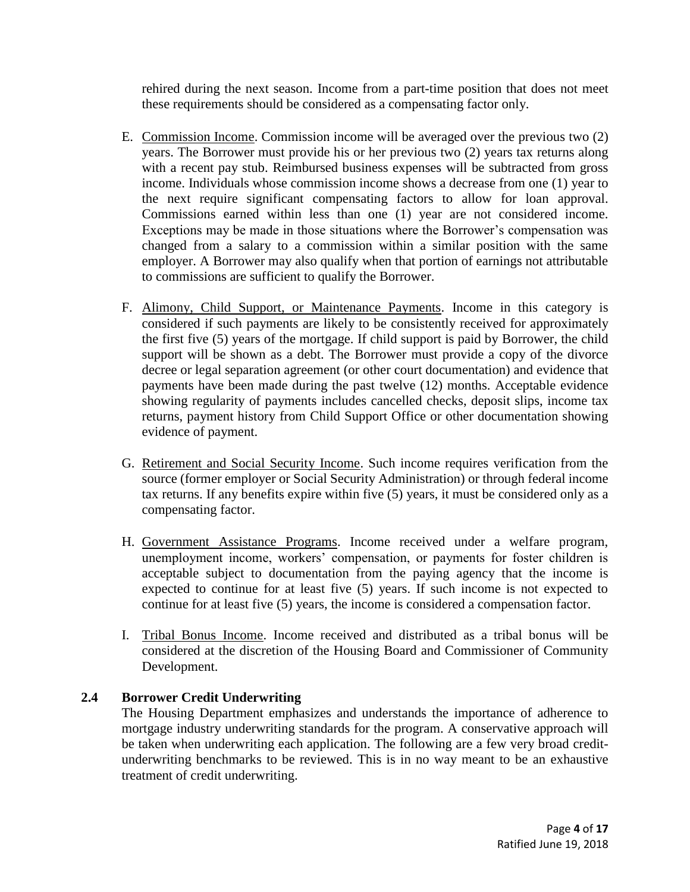rehired during the next season. Income from a part-time position that does not meet these requirements should be considered as a compensating factor only.

- E. Commission Income. Commission income will be averaged over the previous two (2) years. The Borrower must provide his or her previous two (2) years tax returns along with a recent pay stub. Reimbursed business expenses will be subtracted from gross income. Individuals whose commission income shows a decrease from one (1) year to the next require significant compensating factors to allow for loan approval. Commissions earned within less than one (1) year are not considered income. Exceptions may be made in those situations where the Borrower's compensation was changed from a salary to a commission within a similar position with the same employer. A Borrower may also qualify when that portion of earnings not attributable to commissions are sufficient to qualify the Borrower.
- F. Alimony, Child Support, or Maintenance Payments. Income in this category is considered if such payments are likely to be consistently received for approximately the first five (5) years of the mortgage. If child support is paid by Borrower, the child support will be shown as a debt. The Borrower must provide a copy of the divorce decree or legal separation agreement (or other court documentation) and evidence that payments have been made during the past twelve (12) months. Acceptable evidence showing regularity of payments includes cancelled checks, deposit slips, income tax returns, payment history from Child Support Office or other documentation showing evidence of payment.
- G. Retirement and Social Security Income. Such income requires verification from the source (former employer or Social Security Administration) or through federal income tax returns. If any benefits expire within five (5) years, it must be considered only as a compensating factor.
- H. Government Assistance Programs. Income received under a welfare program, unemployment income, workers' compensation, or payments for foster children is acceptable subject to documentation from the paying agency that the income is expected to continue for at least five (5) years. If such income is not expected to continue for at least five (5) years, the income is considered a compensation factor.
- I. Tribal Bonus Income. Income received and distributed as a tribal bonus will be considered at the discretion of the Housing Board and Commissioner of Community Development.

# **2.4 Borrower Credit Underwriting**

The Housing Department emphasizes and understands the importance of adherence to mortgage industry underwriting standards for the program. A conservative approach will be taken when underwriting each application. The following are a few very broad creditunderwriting benchmarks to be reviewed. This is in no way meant to be an exhaustive treatment of credit underwriting.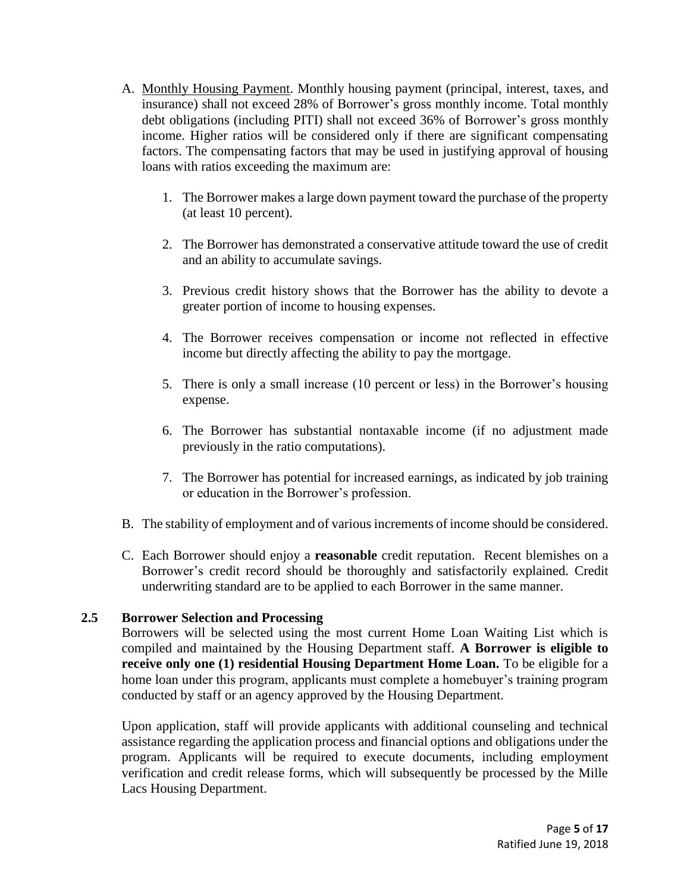- A. Monthly Housing Payment. Monthly housing payment (principal, interest, taxes, and insurance) shall not exceed 28% of Borrower's gross monthly income. Total monthly debt obligations (including PITI) shall not exceed 36% of Borrower's gross monthly income. Higher ratios will be considered only if there are significant compensating factors. The compensating factors that may be used in justifying approval of housing loans with ratios exceeding the maximum are:
	- 1. The Borrower makes a large down payment toward the purchase of the property (at least 10 percent).
	- 2. The Borrower has demonstrated a conservative attitude toward the use of credit and an ability to accumulate savings.
	- 3. Previous credit history shows that the Borrower has the ability to devote a greater portion of income to housing expenses.
	- 4. The Borrower receives compensation or income not reflected in effective income but directly affecting the ability to pay the mortgage.
	- 5. There is only a small increase (10 percent or less) in the Borrower's housing expense.
	- 6. The Borrower has substantial nontaxable income (if no adjustment made previously in the ratio computations).
	- 7. The Borrower has potential for increased earnings, as indicated by job training or education in the Borrower's profession.
- B. The stability of employment and of various increments of income should be considered.
- C. Each Borrower should enjoy a **reasonable** credit reputation. Recent blemishes on a Borrower's credit record should be thoroughly and satisfactorily explained. Credit underwriting standard are to be applied to each Borrower in the same manner.

# **2.5 Borrower Selection and Processing**

Borrowers will be selected using the most current Home Loan Waiting List which is compiled and maintained by the Housing Department staff. **A Borrower is eligible to receive only one (1) residential Housing Department Home Loan.** To be eligible for a home loan under this program, applicants must complete a homebuyer's training program conducted by staff or an agency approved by the Housing Department.

Upon application, staff will provide applicants with additional counseling and technical assistance regarding the application process and financial options and obligations under the program. Applicants will be required to execute documents, including employment verification and credit release forms, which will subsequently be processed by the Mille Lacs Housing Department.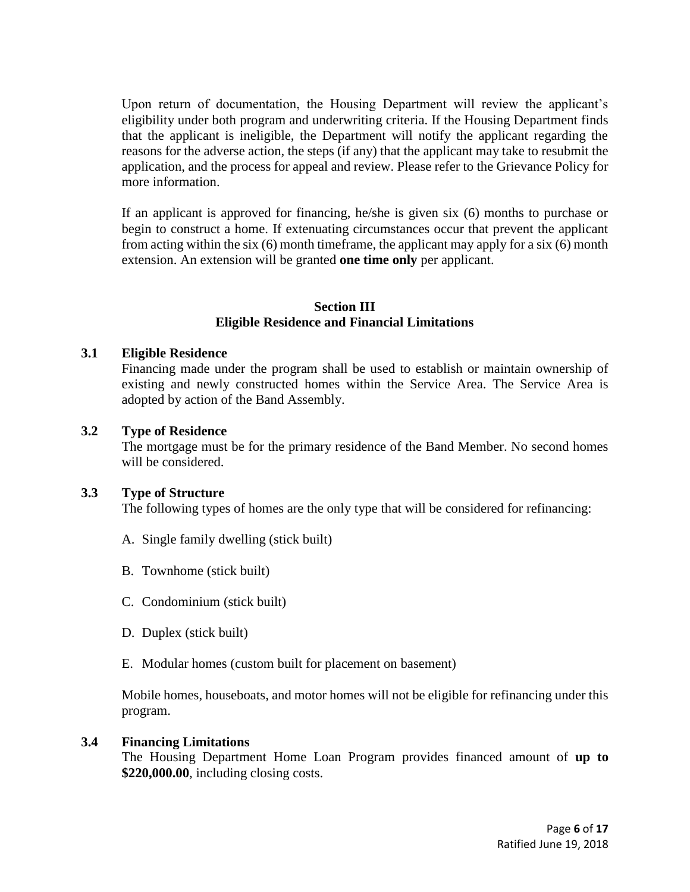Upon return of documentation, the Housing Department will review the applicant's eligibility under both program and underwriting criteria. If the Housing Department finds that the applicant is ineligible, the Department will notify the applicant regarding the reasons for the adverse action, the steps (if any) that the applicant may take to resubmit the application, and the process for appeal and review. Please refer to the Grievance Policy for more information.

If an applicant is approved for financing, he/she is given six (6) months to purchase or begin to construct a home. If extenuating circumstances occur that prevent the applicant from acting within the six (6) month timeframe, the applicant may apply for a six (6) month extension. An extension will be granted **one time only** per applicant.

## **Section III Eligible Residence and Financial Limitations**

### **3.1 Eligible Residence**

Financing made under the program shall be used to establish or maintain ownership of existing and newly constructed homes within the Service Area. The Service Area is adopted by action of the Band Assembly.

#### **3.2 Type of Residence**

The mortgage must be for the primary residence of the Band Member. No second homes will be considered.

#### **3.3 Type of Structure**

The following types of homes are the only type that will be considered for refinancing:

- A. Single family dwelling (stick built)
- B. Townhome (stick built)
- C. Condominium (stick built)
- D. Duplex (stick built)
- E. Modular homes (custom built for placement on basement)

Mobile homes, houseboats, and motor homes will not be eligible for refinancing under this program.

#### **3.4 Financing Limitations**

The Housing Department Home Loan Program provides financed amount of **up to \$220,000.00**, including closing costs.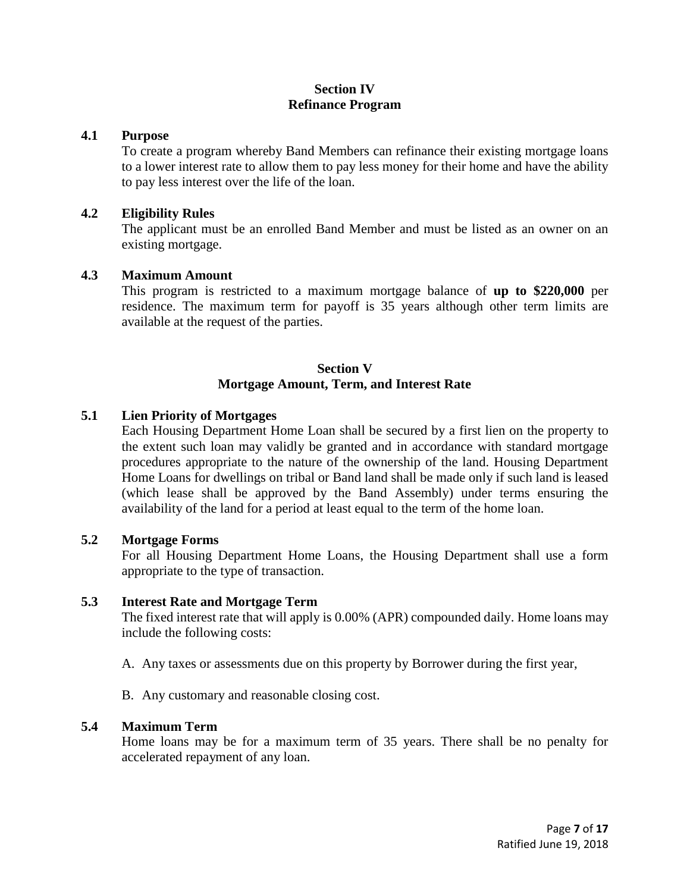## **Section IV Refinance Program**

#### **4.1 Purpose**

To create a program whereby Band Members can refinance their existing mortgage loans to a lower interest rate to allow them to pay less money for their home and have the ability to pay less interest over the life of the loan.

#### **4.2 Eligibility Rules**

The applicant must be an enrolled Band Member and must be listed as an owner on an existing mortgage.

### **4.3 Maximum Amount**

This program is restricted to a maximum mortgage balance of **up to \$220,000** per residence. The maximum term for payoff is 35 years although other term limits are available at the request of the parties.

### **Section V Mortgage Amount, Term, and Interest Rate**

## **5.1 Lien Priority of Mortgages**

Each Housing Department Home Loan shall be secured by a first lien on the property to the extent such loan may validly be granted and in accordance with standard mortgage procedures appropriate to the nature of the ownership of the land. Housing Department Home Loans for dwellings on tribal or Band land shall be made only if such land is leased (which lease shall be approved by the Band Assembly) under terms ensuring the availability of the land for a period at least equal to the term of the home loan.

#### **5.2 Mortgage Forms**

For all Housing Department Home Loans, the Housing Department shall use a form appropriate to the type of transaction.

#### **5.3 Interest Rate and Mortgage Term**

The fixed interest rate that will apply is 0.00% (APR) compounded daily. Home loans may include the following costs:

- A. Any taxes or assessments due on this property by Borrower during the first year,
- B. Any customary and reasonable closing cost.

#### **5.4 Maximum Term**

Home loans may be for a maximum term of 35 years. There shall be no penalty for accelerated repayment of any loan.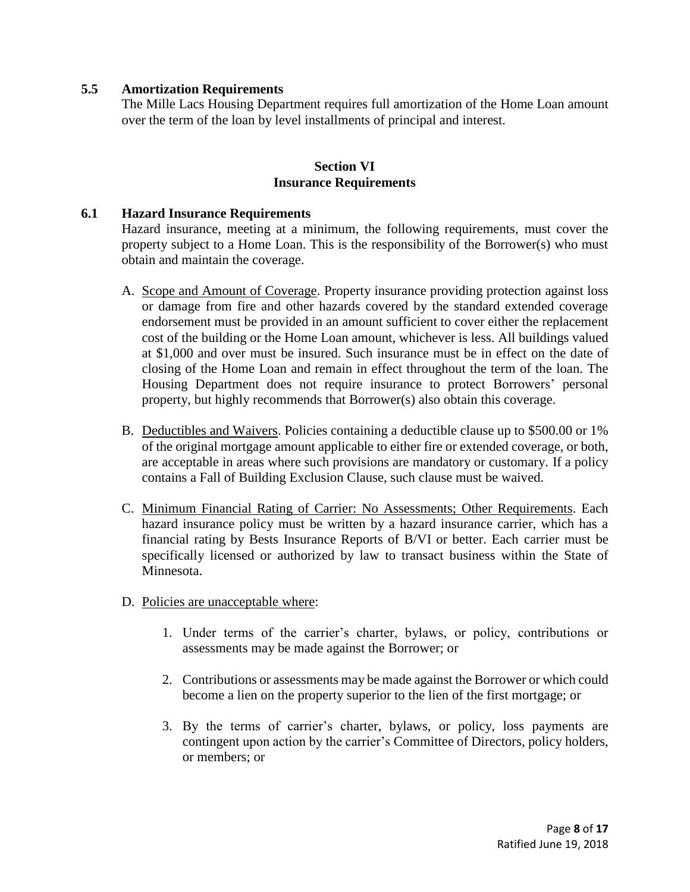## **5.5 Amortization Requirements**

The Mille Lacs Housing Department requires full amortization of the Home Loan amount over the term of the loan by level installments of principal and interest.

### **Section VI Insurance Requirements**

### **6.1 Hazard Insurance Requirements**

Hazard insurance, meeting at a minimum, the following requirements, must cover the property subject to a Home Loan. This is the responsibility of the Borrower(s) who must obtain and maintain the coverage.

- A. Scope and Amount of Coverage. Property insurance providing protection against loss or damage from fire and other hazards covered by the standard extended coverage endorsement must be provided in an amount sufficient to cover either the replacement cost of the building or the Home Loan amount, whichever is less. All buildings valued at \$1,000 and over must be insured. Such insurance must be in effect on the date of closing of the Home Loan and remain in effect throughout the term of the loan. The Housing Department does not require insurance to protect Borrowers' personal property, but highly recommends that Borrower(s) also obtain this coverage.
- B. Deductibles and Waivers. Policies containing a deductible clause up to \$500.00 or 1% of the original mortgage amount applicable to either fire or extended coverage, or both, are acceptable in areas where such provisions are mandatory or customary. If a policy contains a Fall of Building Exclusion Clause, such clause must be waived.
- C. Minimum Financial Rating of Carrier: No Assessments; Other Requirements. Each hazard insurance policy must be written by a hazard insurance carrier, which has a financial rating by Bests Insurance Reports of B/VI or better. Each carrier must be specifically licensed or authorized by law to transact business within the State of Minnesota.
- D. Policies are unacceptable where:
	- 1. Under terms of the carrier's charter, bylaws, or policy, contributions or assessments may be made against the Borrower; or
	- 2. Contributions or assessments may be made against the Borrower or which could become a lien on the property superior to the lien of the first mortgage; or
	- 3. By the terms of carrier's charter, bylaws, or policy, loss payments are contingent upon action by the carrier's Committee of Directors, policy holders, or members; or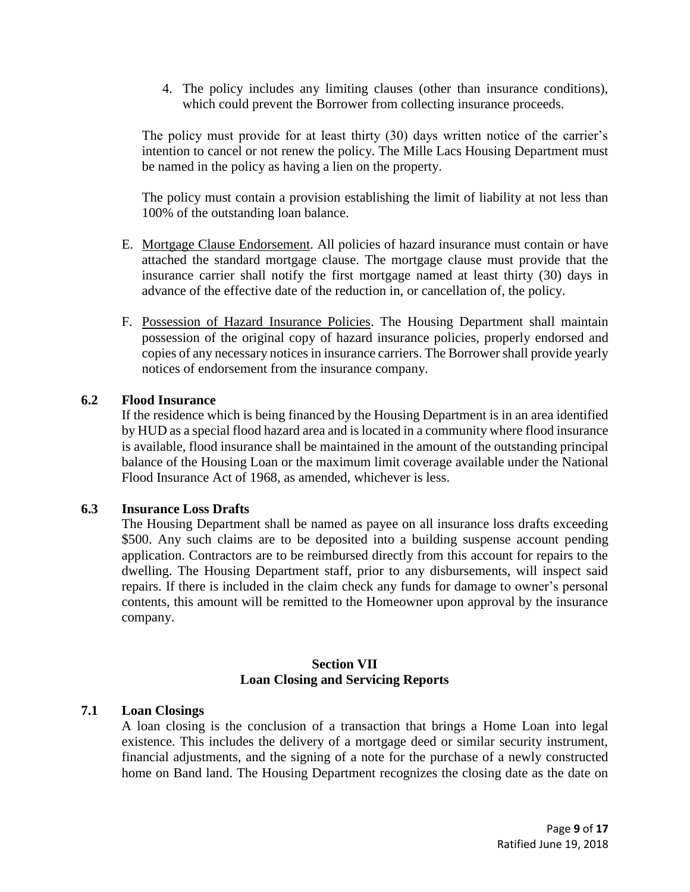4. The policy includes any limiting clauses (other than insurance conditions), which could prevent the Borrower from collecting insurance proceeds.

The policy must provide for at least thirty (30) days written notice of the carrier's intention to cancel or not renew the policy. The Mille Lacs Housing Department must be named in the policy as having a lien on the property.

The policy must contain a provision establishing the limit of liability at not less than 100% of the outstanding loan balance.

- E. Mortgage Clause Endorsement. All policies of hazard insurance must contain or have attached the standard mortgage clause. The mortgage clause must provide that the insurance carrier shall notify the first mortgage named at least thirty (30) days in advance of the effective date of the reduction in, or cancellation of, the policy.
- F. Possession of Hazard Insurance Policies. The Housing Department shall maintain possession of the original copy of hazard insurance policies, properly endorsed and copies of any necessary notices in insurance carriers. The Borrower shall provide yearly notices of endorsement from the insurance company.

### **6.2 Flood Insurance**

If the residence which is being financed by the Housing Department is in an area identified by HUD as a special flood hazard area and is located in a community where flood insurance is available, flood insurance shall be maintained in the amount of the outstanding principal balance of the Housing Loan or the maximum limit coverage available under the National Flood Insurance Act of 1968, as amended, whichever is less.

### **6.3 Insurance Loss Drafts**

The Housing Department shall be named as payee on all insurance loss drafts exceeding \$500. Any such claims are to be deposited into a building suspense account pending application. Contractors are to be reimbursed directly from this account for repairs to the dwelling. The Housing Department staff, prior to any disbursements, will inspect said repairs. If there is included in the claim check any funds for damage to owner's personal contents, this amount will be remitted to the Homeowner upon approval by the insurance company.

## **Section VII Loan Closing and Servicing Reports**

### **7.1 Loan Closings**

A loan closing is the conclusion of a transaction that brings a Home Loan into legal existence. This includes the delivery of a mortgage deed or similar security instrument, financial adjustments, and the signing of a note for the purchase of a newly constructed home on Band land. The Housing Department recognizes the closing date as the date on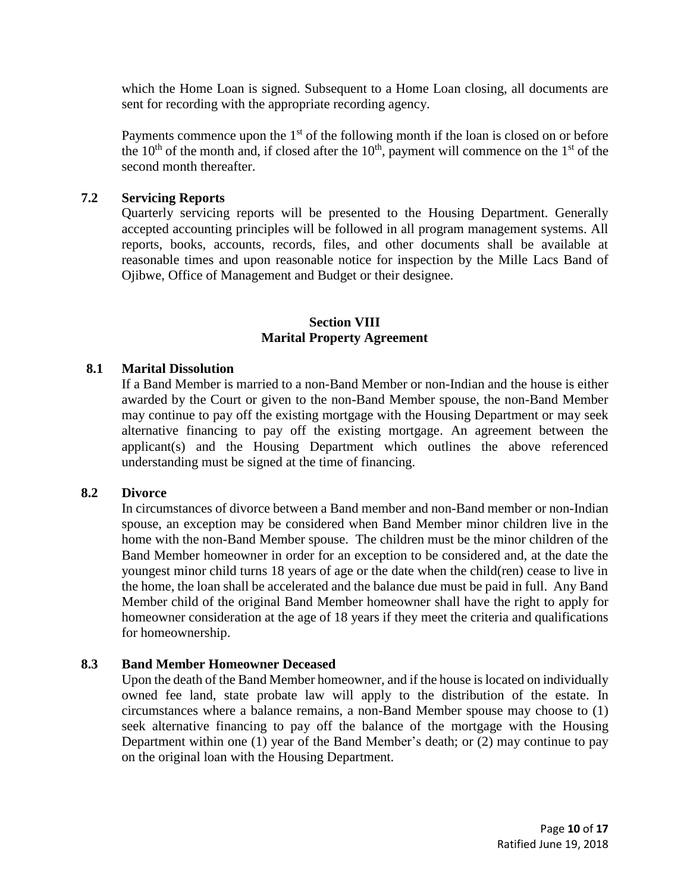which the Home Loan is signed. Subsequent to a Home Loan closing, all documents are sent for recording with the appropriate recording agency.

Payments commence upon the 1<sup>st</sup> of the following month if the loan is closed on or before the  $10<sup>th</sup>$  of the month and, if closed after the  $10<sup>th</sup>$ , payment will commence on the  $1<sup>st</sup>$  of the second month thereafter.

### **7.2 Servicing Reports**

Quarterly servicing reports will be presented to the Housing Department. Generally accepted accounting principles will be followed in all program management systems. All reports, books, accounts, records, files, and other documents shall be available at reasonable times and upon reasonable notice for inspection by the Mille Lacs Band of Ojibwe, Office of Management and Budget or their designee.

#### **Section VIII Marital Property Agreement**

## **8.1 Marital Dissolution**

If a Band Member is married to a non-Band Member or non-Indian and the house is either awarded by the Court or given to the non-Band Member spouse, the non-Band Member may continue to pay off the existing mortgage with the Housing Department or may seek alternative financing to pay off the existing mortgage. An agreement between the applicant(s) and the Housing Department which outlines the above referenced understanding must be signed at the time of financing.

### **8.2 Divorce**

In circumstances of divorce between a Band member and non-Band member or non-Indian spouse, an exception may be considered when Band Member minor children live in the home with the non-Band Member spouse. The children must be the minor children of the Band Member homeowner in order for an exception to be considered and, at the date the youngest minor child turns 18 years of age or the date when the child(ren) cease to live in the home, the loan shall be accelerated and the balance due must be paid in full. Any Band Member child of the original Band Member homeowner shall have the right to apply for homeowner consideration at the age of 18 years if they meet the criteria and qualifications for homeownership.

### **8.3 Band Member Homeowner Deceased**

Upon the death of the Band Member homeowner, and if the house is located on individually owned fee land, state probate law will apply to the distribution of the estate. In circumstances where a balance remains, a non-Band Member spouse may choose to (1) seek alternative financing to pay off the balance of the mortgage with the Housing Department within one (1) year of the Band Member's death; or (2) may continue to pay on the original loan with the Housing Department.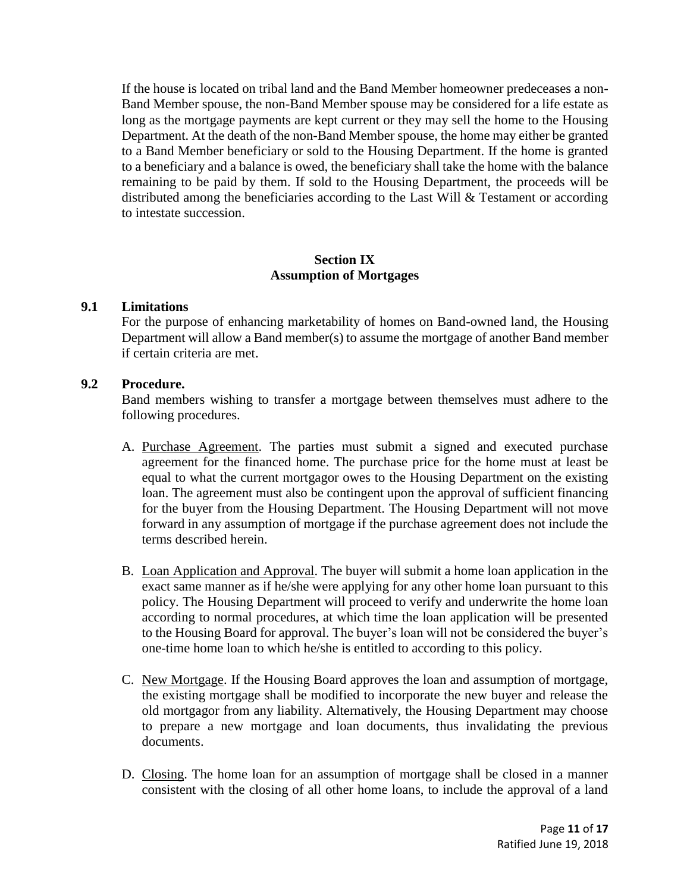If the house is located on tribal land and the Band Member homeowner predeceases a non-Band Member spouse, the non-Band Member spouse may be considered for a life estate as long as the mortgage payments are kept current or they may sell the home to the Housing Department. At the death of the non-Band Member spouse, the home may either be granted to a Band Member beneficiary or sold to the Housing Department. If the home is granted to a beneficiary and a balance is owed, the beneficiary shall take the home with the balance remaining to be paid by them. If sold to the Housing Department, the proceeds will be distributed among the beneficiaries according to the Last Will & Testament or according to intestate succession.

## **Section IX Assumption of Mortgages**

### **9.1 Limitations**

For the purpose of enhancing marketability of homes on Band-owned land, the Housing Department will allow a Band member(s) to assume the mortgage of another Band member if certain criteria are met.

## **9.2 Procedure.**

Band members wishing to transfer a mortgage between themselves must adhere to the following procedures.

- A. Purchase Agreement. The parties must submit a signed and executed purchase agreement for the financed home. The purchase price for the home must at least be equal to what the current mortgagor owes to the Housing Department on the existing loan. The agreement must also be contingent upon the approval of sufficient financing for the buyer from the Housing Department. The Housing Department will not move forward in any assumption of mortgage if the purchase agreement does not include the terms described herein.
- B. Loan Application and Approval. The buyer will submit a home loan application in the exact same manner as if he/she were applying for any other home loan pursuant to this policy. The Housing Department will proceed to verify and underwrite the home loan according to normal procedures, at which time the loan application will be presented to the Housing Board for approval. The buyer's loan will not be considered the buyer's one-time home loan to which he/she is entitled to according to this policy.
- C. New Mortgage. If the Housing Board approves the loan and assumption of mortgage, the existing mortgage shall be modified to incorporate the new buyer and release the old mortgagor from any liability. Alternatively, the Housing Department may choose to prepare a new mortgage and loan documents, thus invalidating the previous documents.
- D. Closing. The home loan for an assumption of mortgage shall be closed in a manner consistent with the closing of all other home loans, to include the approval of a land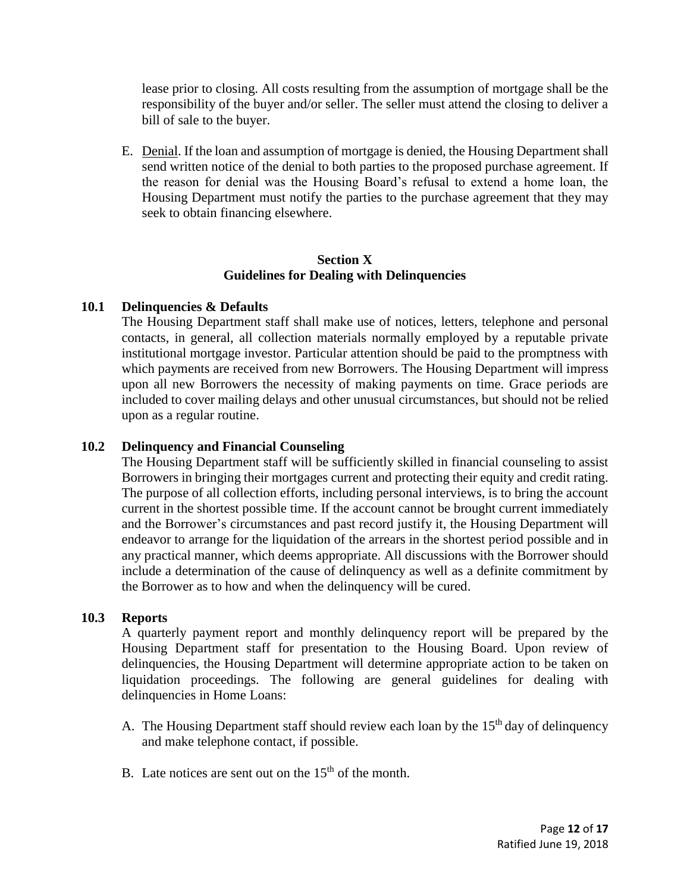lease prior to closing. All costs resulting from the assumption of mortgage shall be the responsibility of the buyer and/or seller. The seller must attend the closing to deliver a bill of sale to the buyer.

E. Denial. If the loan and assumption of mortgage is denied, the Housing Department shall send written notice of the denial to both parties to the proposed purchase agreement. If the reason for denial was the Housing Board's refusal to extend a home loan, the Housing Department must notify the parties to the purchase agreement that they may seek to obtain financing elsewhere.

# **Section X Guidelines for Dealing with Delinquencies**

# **10.1 Delinquencies & Defaults**

The Housing Department staff shall make use of notices, letters, telephone and personal contacts, in general, all collection materials normally employed by a reputable private institutional mortgage investor. Particular attention should be paid to the promptness with which payments are received from new Borrowers. The Housing Department will impress upon all new Borrowers the necessity of making payments on time. Grace periods are included to cover mailing delays and other unusual circumstances, but should not be relied upon as a regular routine.

# **10.2 Delinquency and Financial Counseling**

The Housing Department staff will be sufficiently skilled in financial counseling to assist Borrowers in bringing their mortgages current and protecting their equity and credit rating. The purpose of all collection efforts, including personal interviews, is to bring the account current in the shortest possible time. If the account cannot be brought current immediately and the Borrower's circumstances and past record justify it, the Housing Department will endeavor to arrange for the liquidation of the arrears in the shortest period possible and in any practical manner, which deems appropriate. All discussions with the Borrower should include a determination of the cause of delinquency as well as a definite commitment by the Borrower as to how and when the delinquency will be cured.

# **10.3 Reports**

A quarterly payment report and monthly delinquency report will be prepared by the Housing Department staff for presentation to the Housing Board. Upon review of delinquencies, the Housing Department will determine appropriate action to be taken on liquidation proceedings. The following are general guidelines for dealing with delinquencies in Home Loans:

- A. The Housing Department staff should review each loan by the  $15<sup>th</sup>$  day of delinquency and make telephone contact, if possible.
- B. Late notices are sent out on the  $15<sup>th</sup>$  of the month.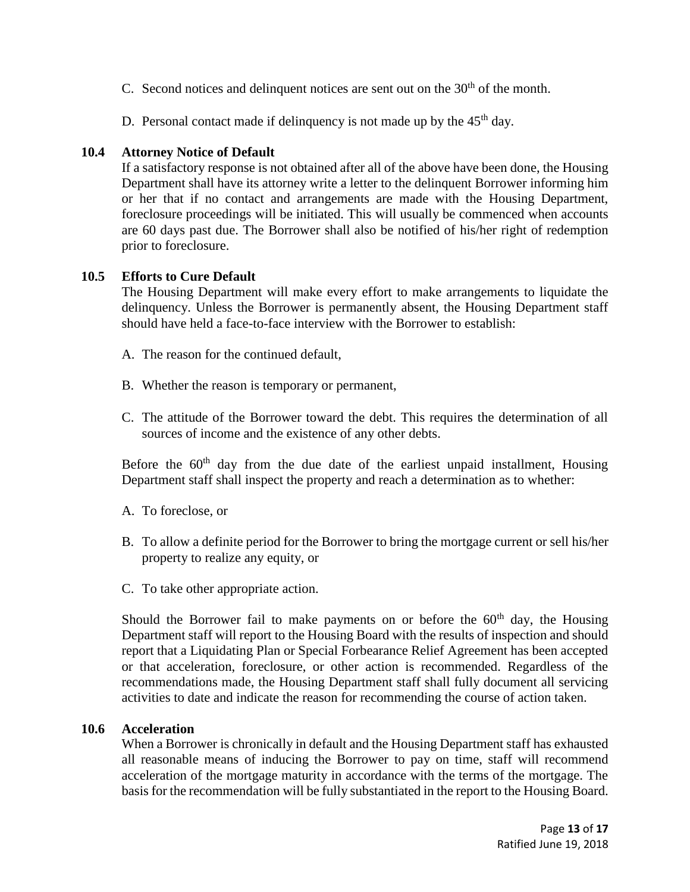- C. Second notices and delinquent notices are sent out on the  $30<sup>th</sup>$  of the month.
- D. Personal contact made if delinquency is not made up by the  $45<sup>th</sup>$  day.

## **10.4 Attorney Notice of Default**

If a satisfactory response is not obtained after all of the above have been done, the Housing Department shall have its attorney write a letter to the delinquent Borrower informing him or her that if no contact and arrangements are made with the Housing Department, foreclosure proceedings will be initiated. This will usually be commenced when accounts are 60 days past due. The Borrower shall also be notified of his/her right of redemption prior to foreclosure.

## **10.5 Efforts to Cure Default**

The Housing Department will make every effort to make arrangements to liquidate the delinquency. Unless the Borrower is permanently absent, the Housing Department staff should have held a face-to-face interview with the Borrower to establish:

- A. The reason for the continued default,
- B. Whether the reason is temporary or permanent,
- C. The attitude of the Borrower toward the debt. This requires the determination of all sources of income and the existence of any other debts.

Before the  $60<sup>th</sup>$  day from the due date of the earliest unpaid installment, Housing Department staff shall inspect the property and reach a determination as to whether:

- A. To foreclose, or
- B. To allow a definite period for the Borrower to bring the mortgage current or sell his/her property to realize any equity, or
- C. To take other appropriate action.

Should the Borrower fail to make payments on or before the  $60<sup>th</sup>$  day, the Housing Department staff will report to the Housing Board with the results of inspection and should report that a Liquidating Plan or Special Forbearance Relief Agreement has been accepted or that acceleration, foreclosure, or other action is recommended. Regardless of the recommendations made, the Housing Department staff shall fully document all servicing activities to date and indicate the reason for recommending the course of action taken.

### **10.6 Acceleration**

When a Borrower is chronically in default and the Housing Department staff has exhausted all reasonable means of inducing the Borrower to pay on time, staff will recommend acceleration of the mortgage maturity in accordance with the terms of the mortgage. The basis for the recommendation will be fully substantiated in the report to the Housing Board.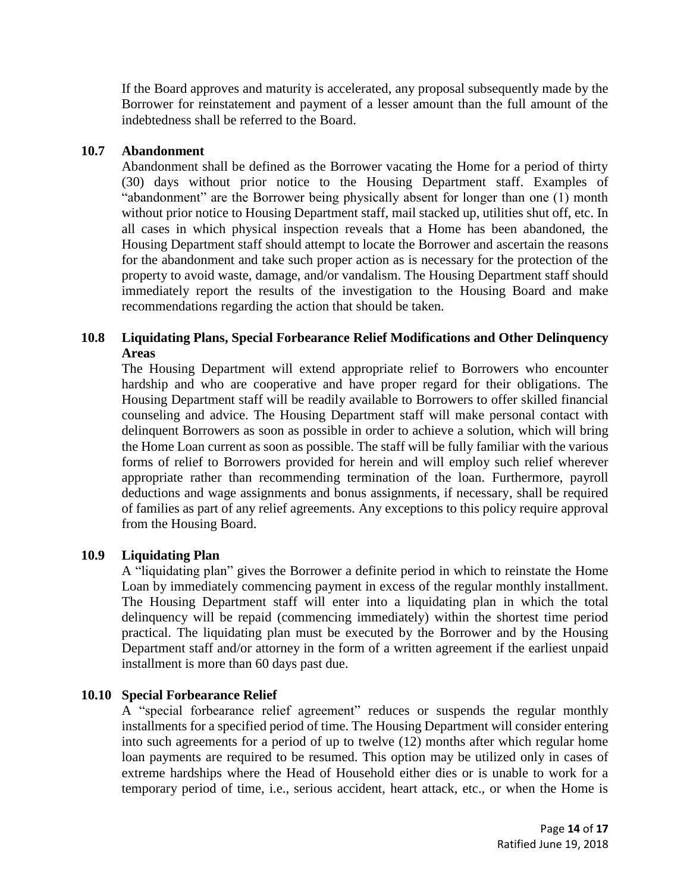If the Board approves and maturity is accelerated, any proposal subsequently made by the Borrower for reinstatement and payment of a lesser amount than the full amount of the indebtedness shall be referred to the Board.

## **10.7 Abandonment**

Abandonment shall be defined as the Borrower vacating the Home for a period of thirty (30) days without prior notice to the Housing Department staff. Examples of "abandonment" are the Borrower being physically absent for longer than one (1) month without prior notice to Housing Department staff, mail stacked up, utilities shut off, etc. In all cases in which physical inspection reveals that a Home has been abandoned, the Housing Department staff should attempt to locate the Borrower and ascertain the reasons for the abandonment and take such proper action as is necessary for the protection of the property to avoid waste, damage, and/or vandalism. The Housing Department staff should immediately report the results of the investigation to the Housing Board and make recommendations regarding the action that should be taken.

# **10.8 Liquidating Plans, Special Forbearance Relief Modifications and Other Delinquency Areas**

The Housing Department will extend appropriate relief to Borrowers who encounter hardship and who are cooperative and have proper regard for their obligations. The Housing Department staff will be readily available to Borrowers to offer skilled financial counseling and advice. The Housing Department staff will make personal contact with delinquent Borrowers as soon as possible in order to achieve a solution, which will bring the Home Loan current as soon as possible. The staff will be fully familiar with the various forms of relief to Borrowers provided for herein and will employ such relief wherever appropriate rather than recommending termination of the loan. Furthermore, payroll deductions and wage assignments and bonus assignments, if necessary, shall be required of families as part of any relief agreements. Any exceptions to this policy require approval from the Housing Board.

# **10.9 Liquidating Plan**

A "liquidating plan" gives the Borrower a definite period in which to reinstate the Home Loan by immediately commencing payment in excess of the regular monthly installment. The Housing Department staff will enter into a liquidating plan in which the total delinquency will be repaid (commencing immediately) within the shortest time period practical. The liquidating plan must be executed by the Borrower and by the Housing Department staff and/or attorney in the form of a written agreement if the earliest unpaid installment is more than 60 days past due.

# **10.10 Special Forbearance Relief**

A "special forbearance relief agreement" reduces or suspends the regular monthly installments for a specified period of time. The Housing Department will consider entering into such agreements for a period of up to twelve (12) months after which regular home loan payments are required to be resumed. This option may be utilized only in cases of extreme hardships where the Head of Household either dies or is unable to work for a temporary period of time, i.e., serious accident, heart attack, etc., or when the Home is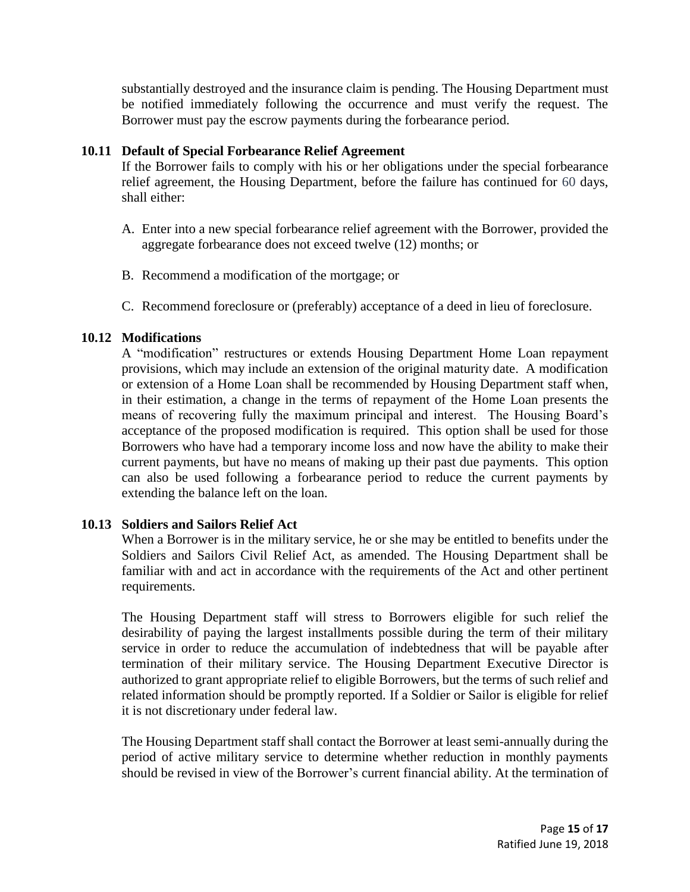substantially destroyed and the insurance claim is pending. The Housing Department must be notified immediately following the occurrence and must verify the request. The Borrower must pay the escrow payments during the forbearance period.

## **10.11 Default of Special Forbearance Relief Agreement**

If the Borrower fails to comply with his or her obligations under the special forbearance relief agreement, the Housing Department, before the failure has continued for 60 days, shall either:

- A. Enter into a new special forbearance relief agreement with the Borrower, provided the aggregate forbearance does not exceed twelve (12) months; or
- B. Recommend a modification of the mortgage; or
- C. Recommend foreclosure or (preferably) acceptance of a deed in lieu of foreclosure.

## **10.12 Modifications**

A "modification" restructures or extends Housing Department Home Loan repayment provisions, which may include an extension of the original maturity date. A modification or extension of a Home Loan shall be recommended by Housing Department staff when, in their estimation, a change in the terms of repayment of the Home Loan presents the means of recovering fully the maximum principal and interest. The Housing Board's acceptance of the proposed modification is required. This option shall be used for those Borrowers who have had a temporary income loss and now have the ability to make their current payments, but have no means of making up their past due payments. This option can also be used following a forbearance period to reduce the current payments by extending the balance left on the loan.

# **10.13 Soldiers and Sailors Relief Act**

When a Borrower is in the military service, he or she may be entitled to benefits under the Soldiers and Sailors Civil Relief Act, as amended. The Housing Department shall be familiar with and act in accordance with the requirements of the Act and other pertinent requirements.

The Housing Department staff will stress to Borrowers eligible for such relief the desirability of paying the largest installments possible during the term of their military service in order to reduce the accumulation of indebtedness that will be payable after termination of their military service. The Housing Department Executive Director is authorized to grant appropriate relief to eligible Borrowers, but the terms of such relief and related information should be promptly reported. If a Soldier or Sailor is eligible for relief it is not discretionary under federal law.

The Housing Department staff shall contact the Borrower at least semi-annually during the period of active military service to determine whether reduction in monthly payments should be revised in view of the Borrower's current financial ability. At the termination of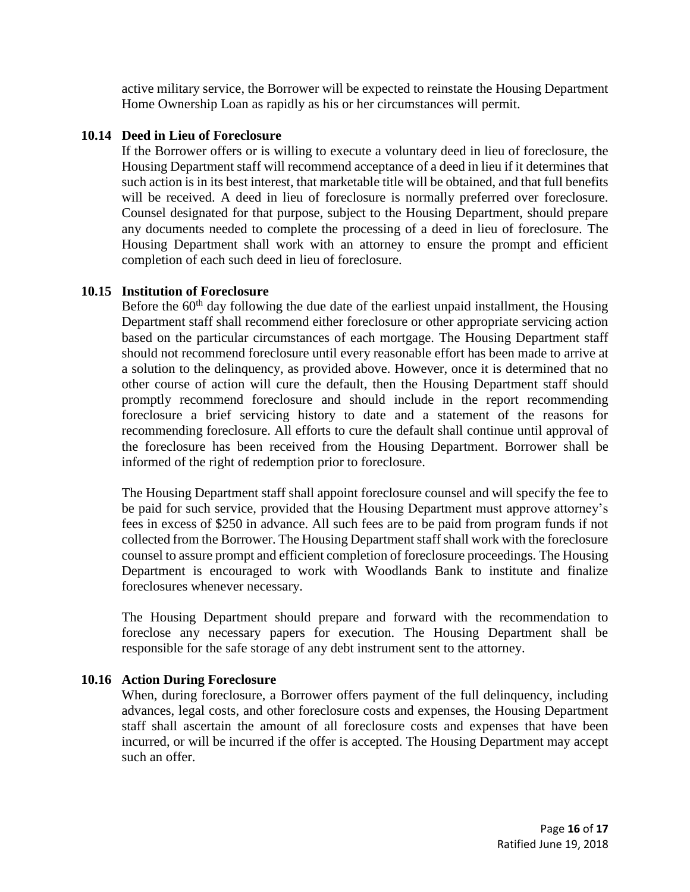active military service, the Borrower will be expected to reinstate the Housing Department Home Ownership Loan as rapidly as his or her circumstances will permit.

## **10.14 Deed in Lieu of Foreclosure**

If the Borrower offers or is willing to execute a voluntary deed in lieu of foreclosure, the Housing Department staff will recommend acceptance of a deed in lieu if it determines that such action is in its best interest, that marketable title will be obtained, and that full benefits will be received. A deed in lieu of foreclosure is normally preferred over foreclosure. Counsel designated for that purpose, subject to the Housing Department, should prepare any documents needed to complete the processing of a deed in lieu of foreclosure. The Housing Department shall work with an attorney to ensure the prompt and efficient completion of each such deed in lieu of foreclosure.

## **10.15 Institution of Foreclosure**

Before the  $60<sup>th</sup>$  day following the due date of the earliest unpaid installment, the Housing Department staff shall recommend either foreclosure or other appropriate servicing action based on the particular circumstances of each mortgage. The Housing Department staff should not recommend foreclosure until every reasonable effort has been made to arrive at a solution to the delinquency, as provided above. However, once it is determined that no other course of action will cure the default, then the Housing Department staff should promptly recommend foreclosure and should include in the report recommending foreclosure a brief servicing history to date and a statement of the reasons for recommending foreclosure. All efforts to cure the default shall continue until approval of the foreclosure has been received from the Housing Department. Borrower shall be informed of the right of redemption prior to foreclosure.

The Housing Department staff shall appoint foreclosure counsel and will specify the fee to be paid for such service, provided that the Housing Department must approve attorney's fees in excess of \$250 in advance. All such fees are to be paid from program funds if not collected from the Borrower. The Housing Department staff shall work with the foreclosure counsel to assure prompt and efficient completion of foreclosure proceedings. The Housing Department is encouraged to work with Woodlands Bank to institute and finalize foreclosures whenever necessary.

The Housing Department should prepare and forward with the recommendation to foreclose any necessary papers for execution. The Housing Department shall be responsible for the safe storage of any debt instrument sent to the attorney.

### **10.16 Action During Foreclosure**

When, during foreclosure, a Borrower offers payment of the full delinquency, including advances, legal costs, and other foreclosure costs and expenses, the Housing Department staff shall ascertain the amount of all foreclosure costs and expenses that have been incurred, or will be incurred if the offer is accepted. The Housing Department may accept such an offer.